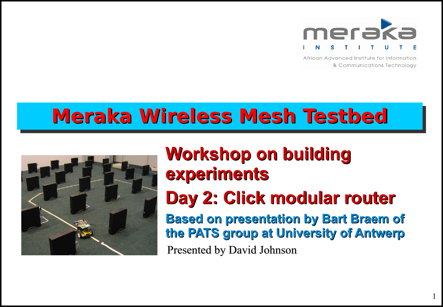

African Advanced Institute for Information & Communications Technology

# **Meraka Wireless Mesh Testbed**



## **Workshop on building experiments**

## **Day 2: Click modular router**

**Based on presentation by Bart Braem of the PATS group at University of Antwerp** Presented by David Johnson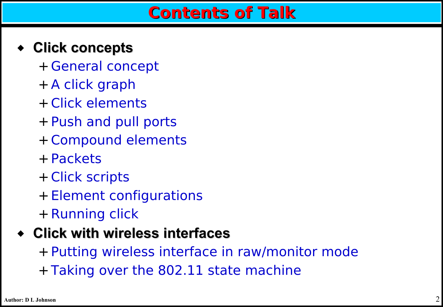### ◆ **Click concepts**

- + General concept
- + A click graph
- + Click elements
- + Push and pull ports
- + Compound elements
- + Packets
- + Click scripts
- + Element configurations
- + Running click

### ◆ **Click with wireless interfaces**

+ Putting wireless interface in raw/monitor mode + Taking over the 802.11 state machine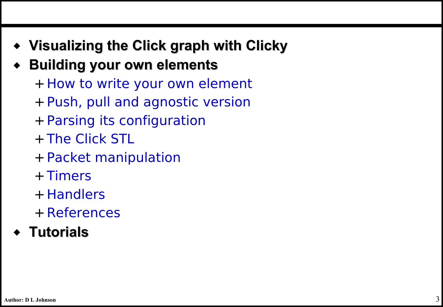- ◆ **Visualizing the Click graph with Clicky**
- **Building your own elements** 
	- + How to write your own element
	- + Push, pull and agnostic version
	- + Parsing its configuration
	- + The Click STL
	- + Packet manipulation
	- + Timers
	- + Handlers
	- + References
- ◆ **Tutorials**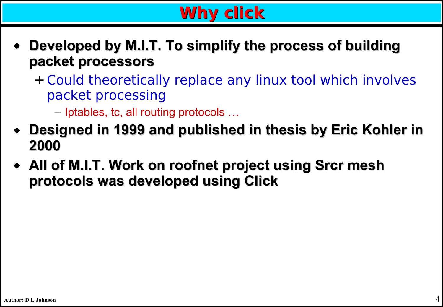## **Why click**

- **Developed by M.I.T. To simplify the process of building packet processors**
	- + Could theoretically replace any linux tool which involves packet processing
		- Iptables, tc, all routing protocols …
- ◆ **Designed in 1999 and published in thesis by Eric Kohler in 2000**
- ◆ **All of M.I.T. Work on roofnet project using Srcr mesh protocols was developed using Click**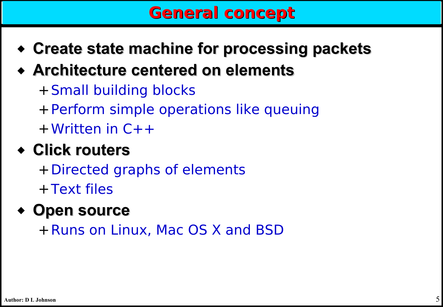### **General concept**

- ◆ **Create state machine for processing packets**
- ◆ **Architecture centered on elements**
	- +Small building blocks
	- +Perform simple operations like queuing
	- +Written in C++

## ◆ **Click routers**

+Directed graphs of elements +Text files

### ◆ **Open source**

+Runs on Linux, Mac OS X and BSD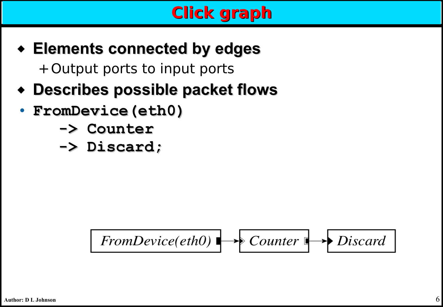## **Click graph**

- ◆ **Elements connected by edges** +Output ports to input ports
- ◆ **Describes possible packet flows**
- **FromDevice(eth0)**
	- **-> Counter**
	- **-> Discard;**

$$
From Device(eth0) \longrightarrow Counter \longrightarrow Discard
$$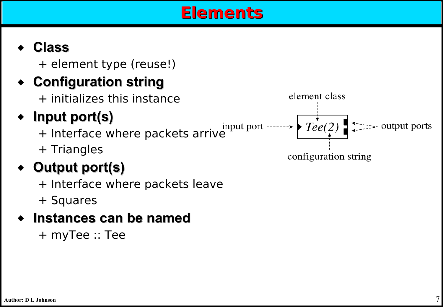### **Elements**

#### ◆ **Class**

+ element type (reuse!)

### ◆ **Configuration string**

+ initializes this instance

### ◆ **Input port(s)**

+ Triangles

### ◆ **Output port(s)**

+ Interface where packets leave

+ Squares

#### **Instances can be named**

+ myTee :: Tee

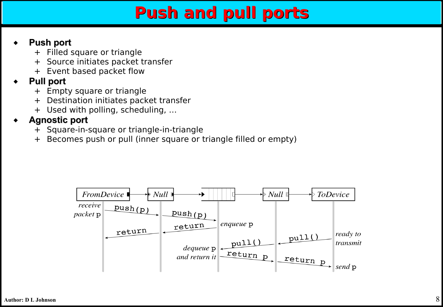### **Push and pull ports**

#### **Push port**

- + Filled square or triangle
- + Source initiates packet transfer
- + Event based packet flow

#### **Pull port**

- + Empty square or triangle
- + Destination initiates packet transfer
- + Used with polling, scheduling, …

#### **Agnostic port**

- + Square-in-square or triangle-in-triangle
- + Becomes push or pull (inner square or triangle filled or empty)

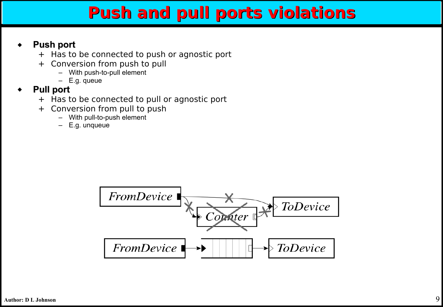### **Push and pull ports violations**

#### **Push port**

- + Has to be connected to push or agnostic port
- + Conversion from push to pull
	- With push-to-pull element
	- E.g. queue
- ◆ **Pull port** 
	- + Has to be connected to pull or agnostic port
	- + Conversion from pull to push
		- With pull-to-push element
		- E.g. unqueue

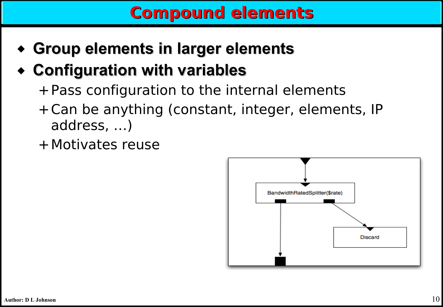- ◆ **Group elements in larger elements**
- ◆ **Configuration with variables**
	- +Pass configuration to the internal elements
	- +Can be anything (constant, integer, elements, IP address, …)
	- +Motivates reuse

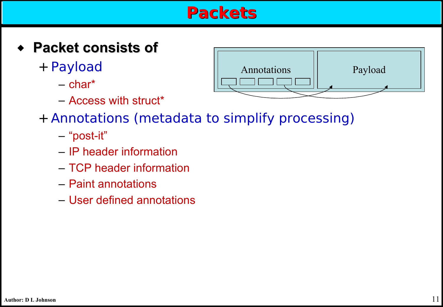### **Packets**

- ◆ **Packet consists of** 
	- + Payload
		- $-$  char<sup>\*</sup>
		- Access with struct\*



- + Annotations (metadata to simplify processing)
	- "post-it"
	- IP header information
	- TCP header information
	- Paint annotations
	- User defined annotations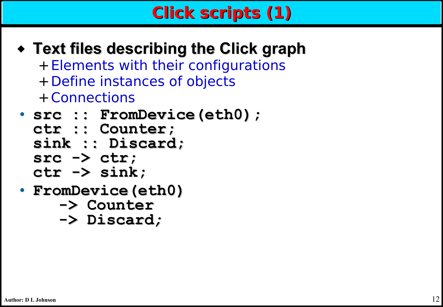## **Click scripts (1)**

- ◆ **Text files describing the Click graph** +Elements with their configurations +Define instances of objects +Connections
- **src :: FromDevice(eth0); ctr :: Counter; sink :: Discard; src -> ctr; ctr -> sink;**
- **FromDevice(eth0)** 
	- **-> Counter**
	- **-> Discard;**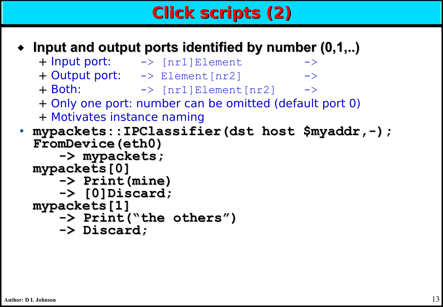## **Click scripts (2)**

#### **Input and output ports identified by number (0,1,..)**

- + Input port:  $\rightarrow$  [nr1]Element -> + Output port:  $\rightarrow$  Element [nr2] -> + Both: -> [nr1]Element[nr2] ->
- + Only one port: number can be omitted (default port 0)
- + Motivates instance naming
- **mypackets::IPClassifier(dst host \$myaddr,-); FromDevice(eth0)**
	- **-> mypackets; mypackets[0]**
		- **-> Print(mine)**
		- **-> [0]Discard;**
	- **mypackets[1]**
		- **-> Print("the others")**
		- **-> Discard;**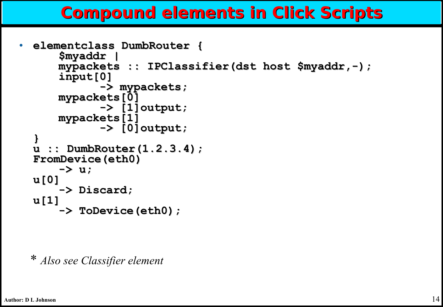### **Compound elements in Click Scripts**

```
• elementclass DumbRouter {
      $myaddr |
     mypackets :: IPClassifier(dst host $myaddr,-);
      input[0]
            -> mypackets;
     mypackets[0]
            -> [1]output;
     mypackets[1]
            -> [0]output;
  }
  u :: DumbRouter(1.2.3.4);
  FromDevice(eth0)
      -> u;
  u[0]
      -> Discard;
  u[1]
      -> ToDevice(eth0);
```
\* *Also see Classifier element*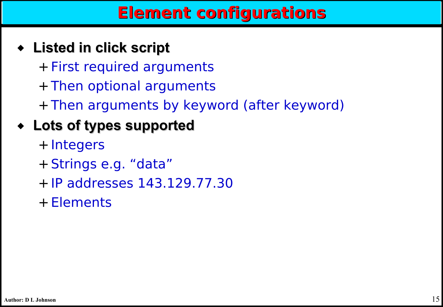### **Element configurations**

- ◆ **Listed in click script**
	- + First required arguments + Then optional arguments
		- + Then arguments by keyword (after keyword)
- ◆ **Lots of types supported**
	- + Integers
	- + Strings e.g. "data"
	- + IP addresses 143.129.77.30
	- + Elements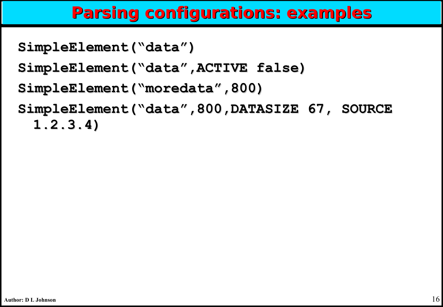### **Parsing configurations: examples**

```
SimpleElement("data")
```

```
SimpleElement("data",ACTIVE false)
```

```
SimpleElement("moredata",800)
```

```
SimpleElement("data",800,DATASIZE 67, SOURCE 
 1.2.3.4)
```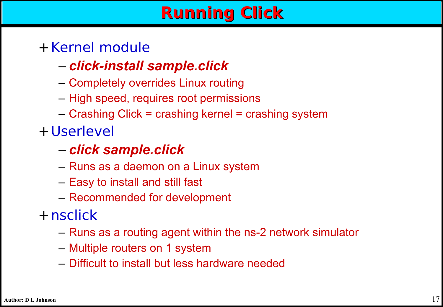## **Running Click**

### +Kernel module

### – *click-install sample.click*

- Completely overrides Linux routing
- High speed, requires root permissions
- Crashing Click = crashing kernel = crashing system

+Userlevel

### – *click sample.click*

- Runs as a daemon on a Linux system
- Easy to install and still fast
- Recommended for development
- +nsclick
	- Runs as a routing agent within the ns-2 network simulator
	- Multiple routers on 1 system
	- Difficult to install but less hardware needed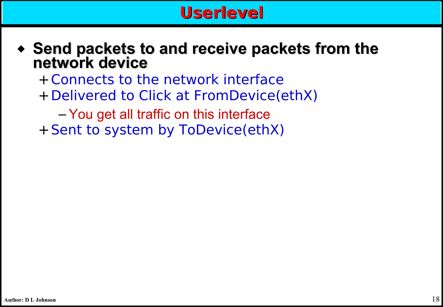

- ◆ **Send packets to and receive packets from the network device**
	- +Connects to the network interface
	- +Delivered to Click at FromDevice(ethX)
		- You get all traffic on this interface
	- +Sent to system by ToDevice(ethX)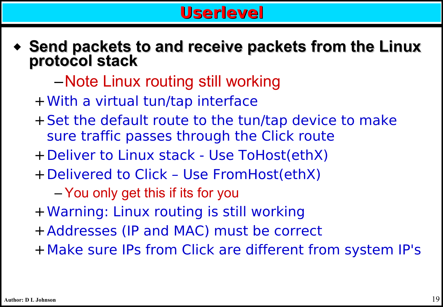### **Userlevel**

- ◆ **Send packets to and receive packets from the Linux protocol stack**
	- –Note Linux routing still working
	- +With a virtual tun/tap interface
	- +Set the default route to the tun/tap device to make sure traffic passes through the Click route
	- +Deliver to Linux stack Use ToHost(ethX)
	- +Delivered to Click Use FromHost(ethX)
		- You only get this if its for you
	- +Warning: Linux routing is still working
	- +Addresses (IP and MAC) must be correct
	- +Make sure IPs from Click are different from system IP's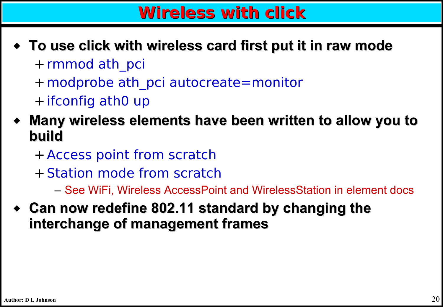### **Wireless with click**

- ◆ **To use click with wireless card first put it in raw mode** + rmmod ath pci
	- +modprobe ath\_pci autocreate=monitor
	- + ifconfig ath0 up
- **Many wireless elements have been written to allow you to build**
	- + Access point from scratch
	- + Station mode from scratch
		- See WiFi, Wireless AccessPoint and WirelessStation in element docs
- ◆ **Can now redefine 802.11 standard by changing the interchange of management frames**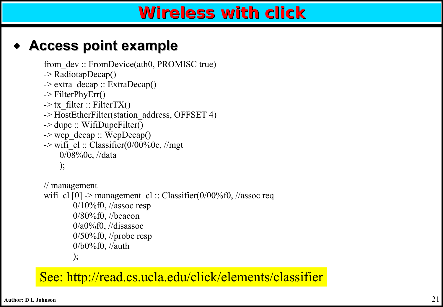### **Wireless with click**

### **Access point example**

```
from dev :: FromDevice(ath0, PROMISC true)
-> RadiotapDecap()
\rightarrow extra decap :: ExtraDecap()
\rightarrow FilterPhyErr()
\rightarrow tx filter :: FilterTX()
-> HostEtherFilter(station_address, OFFSET 4)
-> dupe :: WifiDupeFilter()
\rightarrow wep decap :: WepDecap()
\rightarrow wifi_cl :: Classifier(0/00%0c, //mgt
     0/08%0c, //data
     );
// management
wifi_cl [0] -> management_cl :: Classifier(0/00%f0, //assoc req
         0/10%f0, //assoc resp
```

```
 0/80%f0, //beacon
0/a0\%f0, //disassoc
 0/50%f0, //probe resp
 0/b0%f0, //auth
 );
```
See: http://read.cs.ucla.edu/click/elements/classifier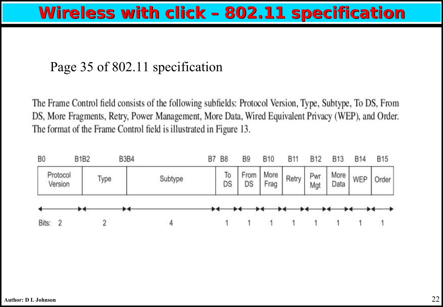### **Wireless with click – 802.11 specification**

#### Page 35 of 802.11 specification

The Frame Control field consists of the following subfields: Protocol Version, Type, Subtype, To DS, From DS, More Fragments, Retry, Power Management, More Data, Wired Equivalent Privacy (WEP), and Order. The format of the Frame Control field is illustrated in Figure 13.

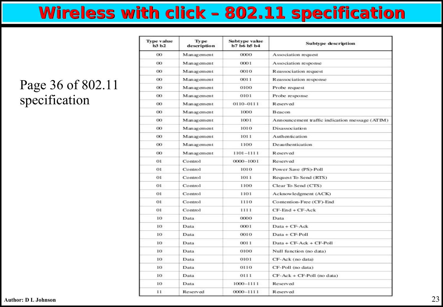### **Wireless with click – 802.11 specification**

#### Page 36 of 802.11 specification

|                                    | <b>Type value</b><br>h3h2 | Type<br>description | Subtype value<br>b7 b6 b5 b4 | <b>Subtype description</b>                     |
|------------------------------------|---------------------------|---------------------|------------------------------|------------------------------------------------|
| Page 36 of 802.11<br>specification | $^{00}$                   | Management          | 0000                         | Association request                            |
|                                    | $^{00}$                   | Management          | 0001                         | Association response                           |
|                                    | $^{00}$                   | Management          | 0010                         | Reassociation request                          |
|                                    | $^{00}$                   | Management          | 0011                         | Reassociation response                         |
|                                    | $^{00}$                   | Management          | 0100                         | Probe request                                  |
|                                    | $_{00}$                   | Management          | 0101                         | Probe response                                 |
|                                    | $^{00}$                   | Management          | 0110-0111                    | Reserved                                       |
|                                    | $^{00}$                   | Management          | 1000                         | Beacon                                         |
|                                    | $_{00}$                   | Management          | 1001                         | Announcement traffic indication message (ATIM) |
|                                    | $_{00}$                   | Management          | 1010                         | Disassociation                                 |
|                                    | $^{00}$                   | Management          | 1011                         | Authentication                                 |
|                                    | $^{00}$                   | Management          | 1100                         | Deauthentication                               |
|                                    | $^{00}$                   | Management          | 1101-1111                    | Reserved                                       |
|                                    | 01                        | Control             | 0000-1001                    | Reserved                                       |
|                                    | 01                        | Control             | 1010                         | Power Save (PS)-Poll                           |
|                                    | 01                        | Control             | 1011                         | Request To Send (RTS)                          |
|                                    | $_{01}$                   | Control             | 1100                         | Clear To Send (CTS)                            |
|                                    | 01                        | Control             | 1101                         | Acknowledgment (ACK)                           |
|                                    | 01                        | Control             | 1110                         | Contention-Free (CF)-End                       |
|                                    | 01                        | Control             | 1111                         | $CF-End + CF-ack$                              |
|                                    | 10                        | Data                | 0000                         | Data                                           |
|                                    | 10                        | Data                | 0001                         | Data + CF-Ack                                  |
|                                    | 10                        | Data                | 0010                         | Data + CF-Poll                                 |
|                                    | 10                        | Data                | 0011                         | Data + CF-Ack + CF-Poll                        |
|                                    | 10                        | Data                | 0100                         | Null function (no data)                        |
|                                    | 10                        | Data                | 0101                         | CF-Ack (no data)                               |
|                                    | 10                        | Data                | 0110                         | CF-Poll (no data)                              |
|                                    | 10                        | Data                | 0111                         | $CF-Ack + CF-Poll$ (no data)                   |
|                                    | 10                        | Data                | 1000-1111                    | Reserved                                       |
|                                    | 11                        | Reserved            | 0000-1111                    | Reserved                                       |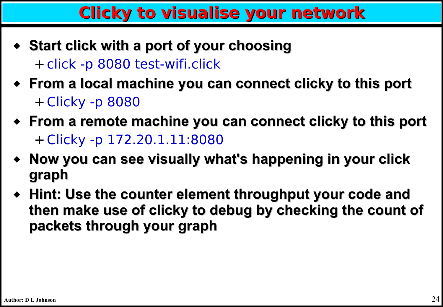### **Clicky to visualise your network**

- ◆ **Start click with a port of your choosing** + click -p 8080 test-wifi.click
- ◆ **From a local machine you can connect clicky to this port** + Clicky -p 8080
- ◆ **From a remote machine you can connect clicky to this port** + Clicky -p 172.20.1.11:8080
- ◆ **Now you can see visually what's happening in your click graph**
- ◆ **Hint: Use the counter element throughput your code and then make use of clicky to debug by checking the count of packets through your graph**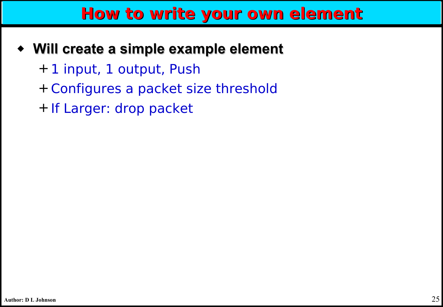### **How to write your own element**

#### ◆ **Will create a simple example element**

- + 1 input, 1 output, Push
- + Configures a packet size threshold
- + If Larger: drop packet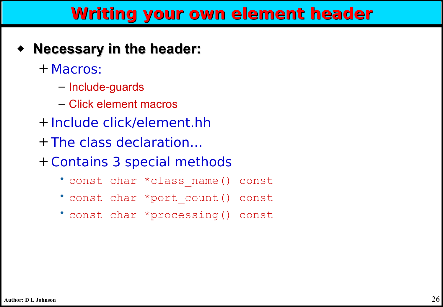### **Writing your own element header**

- ◆ **Necessary in the header:**
	- + Macros:
		- Include-guards
		- Click element macros
	- + Include click/element.hh
	- + The class declaration…
	- + Contains 3 special methods
		- const char \*class\_name() const
		- const char \*port\_count() const
		- const char \*processing() const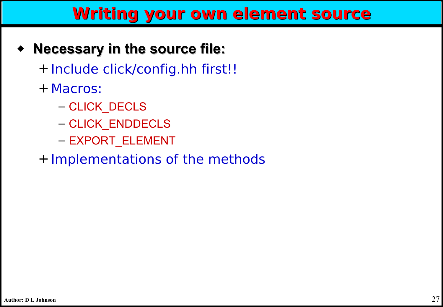### **Writing your own element source**

### ◆ **Necessary in the source file:**

+ Include click/config.hh first!!

- + Macros:
	- CLICK\_DECLS
	- CLICK\_ENDDECLS
	- EXPORT\_ELEMENT

+ Implementations of the methods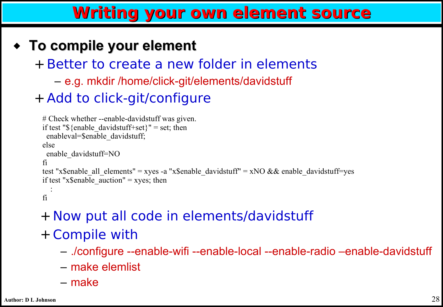### **Writing your own element source**

### ◆ **To compile your element**

+ Better to create a new folder in elements

– e.g. mkdir /home/click-git/elements/davidstuff

### + Add to click-git/configure

```
# Check whether --enable-davidstuff was given.
if test "\{enable_davidstuff+set}" = set; then
  enableval=$enable_davidstuff;
else
  enable_davidstuff=NO
fi
test "x$enable_all_elements" = xyes -a "x$enable_davidstuff" = xNO && enable_davidstuff=yes
if test "x$enable_auction" = xyes; then
\ddot{\phantom{1}}:
fi
```
### + Now put all code in elements/davidstuff + Compile with

- ./configure --enable-wifi --enable-local --enable-radio –enable-davidstuff
- make elemlist
- make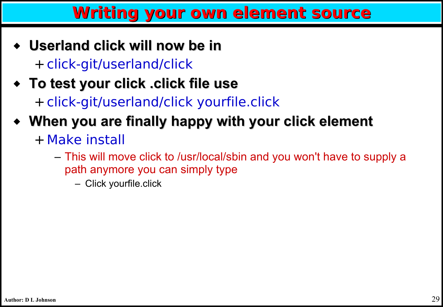### **Writing your own element source**

- ◆ **Userland click will now be in** + click-git/userland/click
- ◆ **To test your click .click file use** + click-git/userland/click yourfile.click
- ◆ **When you are finally happy with your click element**
	- +Make install
		- This will move click to /usr/local/sbin and you won't have to supply a path anymore you can simply type
			- Click yourfile.click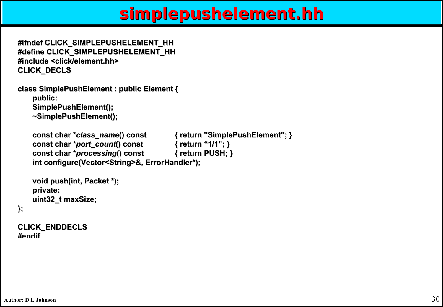### **simplepushelement.hh**

```
#ifndef CLICK_SIMPLEPUSHELEMENT_HH
#define CLICK_SIMPLEPUSHELEMENT_HH
#include <click/element.hh>
CLICK_DECLS
```

```
class SimplePushElement : public Element { 
   public:
   SimplePushElement();
   ~SimplePushElement();
```

```
const char *class_name() const { return "SimplePushElement"; }
const char *port_count() const { return "1/1"; }
const char *processing() const { return PUSH; }
int configure(Vector<String>&, ErrorHandler*);
```

```
void push(int, Packet *);
private:
uint32_t maxSize;
```

```
};
```
**CLICK\_ENDDECLS #endif**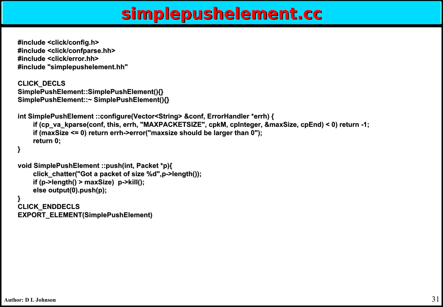### **simplepushelement.cc**

```
#include <click/config.h>
#include <click/confparse.hh>
#include <click/error.hh>
#include "simplepushelement.hh"
```

```
CLICK_DECLS
SimplePushElement::SimplePushElement(){}
SimplePushElement::~ SimplePushElement(){}
```

```
int SimplePushElement ::configure(Vector<String> &conf, ErrorHandler *errh) {
```

```
if (cp_va_kparse(conf, this, errh, "MAXPACKETSIZE", cpkM, cpInteger, &maxSize, cpEnd) < 0) return -1;
if (maxSize <= 0) return errh->error("maxsize should be larger than 0");
return 0;
```

```
}
```

```
void SimplePushElement ::push(int, Packet *p){
    click_chatter("Got a packet of size %d",p->length());
    if (p->length() > maxSize) p->kill();
    else output(0).push(p);
}
CLICK_ENDDECLS
EXPORT_ELEMENT(SimplePushElement)
```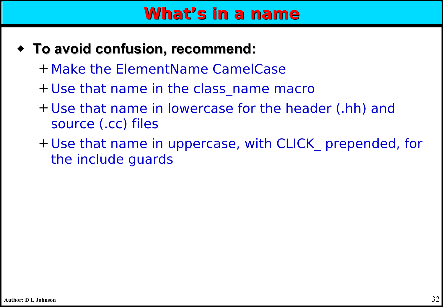### **What's in a name**

- ◆ **To avoid confusion, recommend:**
	- +Make the ElementName CamelCase
	- + Use that name in the class\_name macro
	- + Use that name in lowercase for the header (.hh) and source (.cc) files
	- + Use that name in uppercase, with CLICK\_ prepended, for the include guards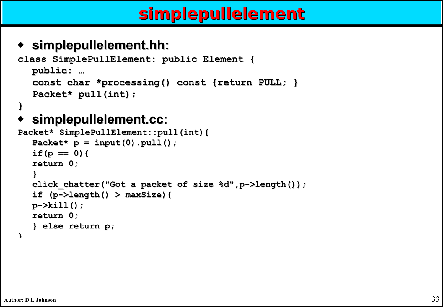## **simplepullelement**

#### ◆ **simplepullelement.hh:**

```
class SimplePullElement: public Element { 
  public: …
  const char *processing() const {return PULL; }
  Packet* pull(int);
```
#### **}**

#### ◆ **simplepullelement.cc:**

```
Packet* SimplePullElement::pull(int){
  Packet* p = input(0).pull();
  if(p == 0){
  return 0;
   }
  click_chatter("Got a packet of size %d",p->length());
  if (p->length() > maxSize){
  p->kill();
  return 0;
   } else return p;
}
```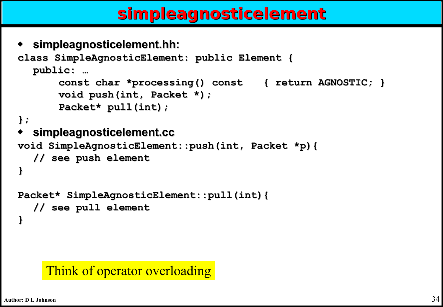### **simpleagnosticelement**

◆ **simpleagnosticelement.hh:**

```
class SimpleAgnosticElement: public Element { 
  public: …
      const char *processing() const { return AGNOSTIC; }
      void push(int, Packet *);
      Packet* pull(int);
};
  simpleagnosticelement.cc
void SimpleAgnosticElement::push(int, Packet *p){
  // see push element
}
```

```
Packet* SimpleAgnosticElement::pull(int){
  // see pull element
}
```
#### Think of operator overloading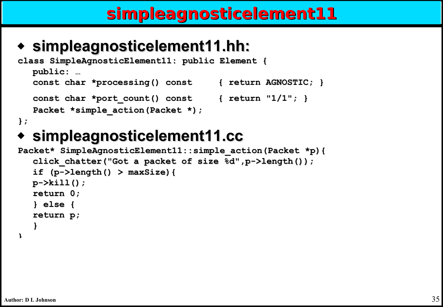### **simpleagnosticelement11**

### ◆ **simpleagnosticelement11.hh:**

```
class SimpleAgnosticElement11: public Element { 
  public: …
  const char *processing() const { return AGNOSTIC; }
  const char *port_count() const { return "1/1"; }
  Packet *simple action(Packet *);
};
```
### simpleagnosticelement11.cc

```
Packet* SimpleAgnosticElement11::simple_action(Packet *p){
  click_chatter("Got a packet of size %d",p->length());
  if (p->length() > maxSize){
  p->kill();
  return 0;
  } else {
  return p;
   }
}
```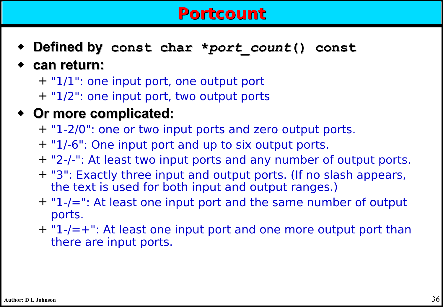### **Portcount**

- ◆ **Defined by const char \****port\_count***() const**
- ◆ **can return:**
	- + "1/1": one input port, one output port
	- + "1/2": one input port, two output ports
- ◆ **Or more complicated:**
	- + "1-2/0": one or two input ports and zero output ports.
	- + "1/-6": One input port and up to six output ports.
	- + "2-/-": At least two input ports and any number of output ports.
	- + "3": Exactly three input and output ports. (If no slash appears, the text is used for both input and output ranges.)
	- + "1-/=": At least one input port and the same number of output ports.
	- + "1-/=+": At least one input port and one more output port than there are input ports.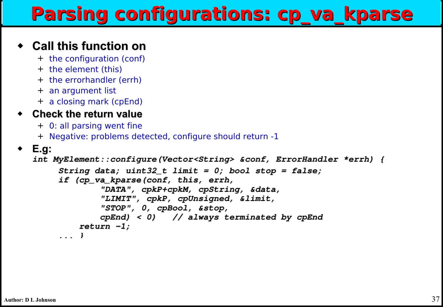# **Parsing configurations: cp\_va\_kparse**

#### ◆ **Call this function on**

- + the configuration (conf)
- + the element (this)
- + the errorhandler (errh)
- + an argument list
- + a closing mark (cpEnd)

#### ◆ **Check the return value**

- + 0: all parsing went fine
- + Negative: problems detected, configure should return -1

```
◆ E.g:
```

```
int MyElement::configure(Vector<String> &conf, ErrorHandler *errh) {
```

```
     String data; uint32_t limit = 0; bool stop = false;
     if (cp_va_kparse(conf, this, errh,
```

```
             "DATA", cpkP+cpkM, cpString, &data,
             "LIMIT", cpkP, cpUnsigned, &limit,
```

```
             "STOP", 0, cpBool, &stop,
```

```
             cpEnd) < 0)   // always terminated by cpEnd
         return 1;
```
 **... }**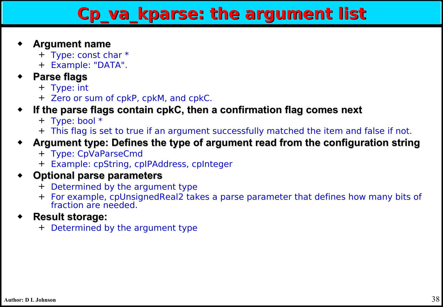### **Cp\_va\_kparse: the argument list**

#### ◆ **Argument name**

- + Type: const char \*
- + Example: "DATA".

#### **Parse flags**

- + Type: int
- + Zero or sum of cpkP, cpkM, and cpkC.
- If the parse flags contain cpkC, then a confirmation flag comes next
	- + Type: bool \*
	- + This flag is set to true if an argument successfully matched the item and false if not.

#### Argument type: Defines the type of argument read from the configuration string

- + Type: CpVaParseCmd
- + Example: cpString, cpIPAddress, cpInteger

#### **Optional parse parameters**

- + Determined by the argument type
- + For example, cpUnsignedReal2 takes a parse parameter that defines how many bits of fraction are needed.

#### ◆ **Result storage:**

+ Determined by the argument type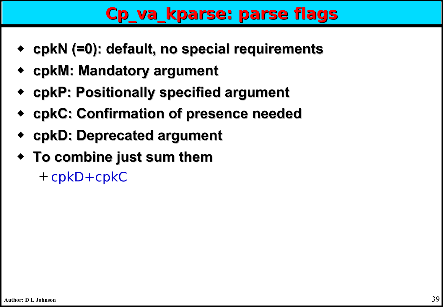## **Cp\_va\_kparse: parse flags**

- ◆ **cpkN (=0): default, no special requirements**
- ◆ **cpkM: Mandatory argument**
- ◆ **cpkP: Positionally specified argument**
- ◆ **cpkC: Confirmation of presence needed**
- ◆ **cpkD: Deprecated argument**
- ◆ **To combine just sum them**

+ cpkD+cpkC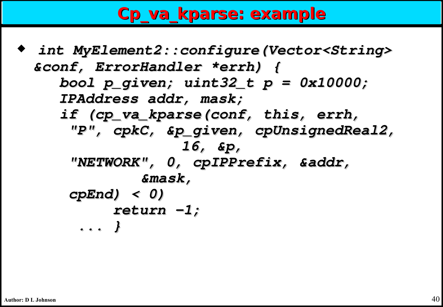### **Cp\_va\_kparse: example**

◆ **int MyElement2::configure(Vector<String> &conf, ErrorHandler \*errh) { bool p\_given; uint32\_t p = 0x10000; IPAddress addr, mask; if (cp\_va\_kparse(conf, this, errh, "P", cpkC, &p\_given, cpUnsignedReal2, 16, &p, "NETWORK", 0, cpIPPrefix, &addr, &mask, cpEnd) < 0) return 1; ... }**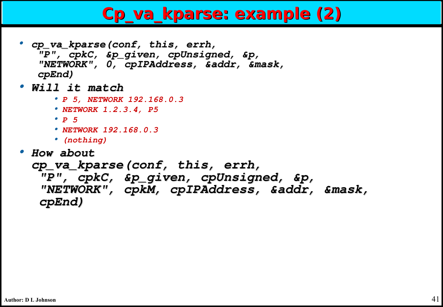### **Cp\_va\_kparse: example (2)**

- **• cp\_va\_kparse(conf, this, errh, "P", cpkC, &p\_given, cpUnsigned, &p, "NETWORK", 0, cpIPAddress, &addr, &mask, cpEnd)**
- **• Will it match**
	- **• P 5, NETWORK 192.168.0.3**
	- **• NETWORK 1.2.3.4, P5**
	- **• P 5**
	- **• NETWORK 192.168.0.3**
	- **• (nothing)**
- **• How about**

```
cp_va_kparse(conf, this, errh,
```
 **"P", cpkC, &p\_given, cpUnsigned, &p, "NETWORK", cpkM, cpIPAddress, &addr, &mask, cpEnd)**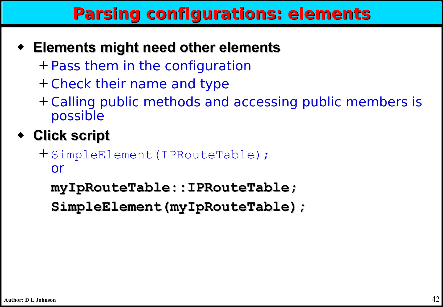## **Parsing configurations: elements**

- ◆ **Elements might need other elements**
	- + Pass them in the configuration
	- + Check their name and type
	- + Calling public methods and accessing public members is possible

### ◆ **Click script**

+ SimpleElement(IPRouteTable); or

**myIpRouteTable::IPRouteTable;**

**SimpleElement(myIpRouteTable);**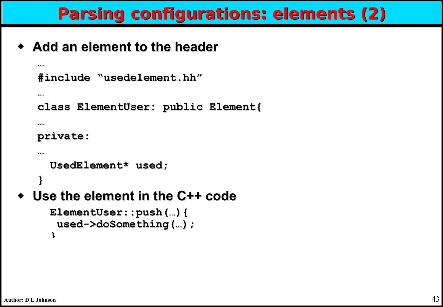## **Parsing configurations: elements (2)**

◆ **Add an element to the header**

```
… 
 #include "usedelement.hh" 
 …
 class ElementUser: public Element{
 … 
 private: 
 …
   UsedElement* used;
 }
Use the element in the C++ code
   ElementUser::push(…){
     used->doSomething(…);
   }
```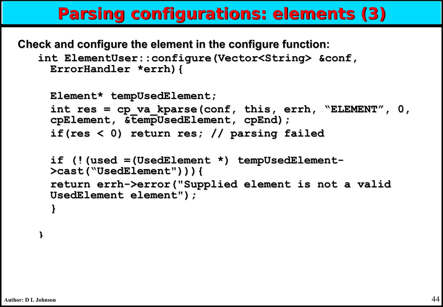### **Parsing configurations: elements (3)**

**Check and configure the element in the configure function:**

```
int ElementUser::configure(Vector<String> &conf, 
 ErrorHandler *errh){
```

```
Element* tempUsedElement;
int res = cp_va_kparse(conf, this, errh, "ELEMENT", 0, 
cpElement, &tempUsedElement, cpEnd);
if(res < 0) return res; // parsing failed
if (!(used =(UsedElement *) tempUsedElement-
>cast("UsedElement"))){
return errh->error("Supplied element is not a valid 
UsedElement element");
}
```
**}**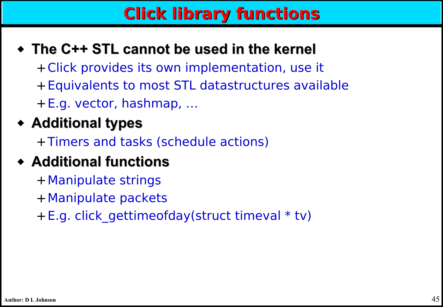## **Click library functions**

### ◆ **The C++ STL cannot be used in the kernel**

- +Click provides its own implementation, use it
- +Equivalents to most STL datastructures available
- +E.g. vector, hashmap, …

### ◆ **Additional types**

+Timers and tasks (schedule actions)

### ◆ **Additional functions**

- +Manipulate strings
- +Manipulate packets
- +E.g. click\_gettimeofday(struct timeval \* tv)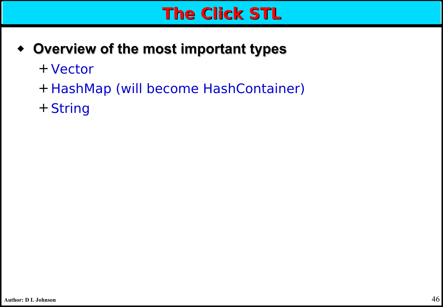### **The Click STL**

- ◆ **Overview of the most important types**
	- + Vector
	- + HashMap (will become HashContainer)
	- + String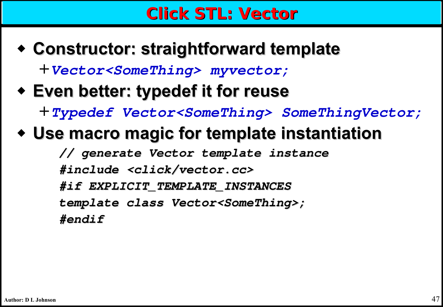### **Click STL: Vector**

- ◆ **Constructor: straightforward template** +**Vector<SomeThing> myvector;**
	-
- ◆ **Even better: typedef it for reuse**

+**Typedef Vector<SomeThing> SomeThingVector;** 

◆ **Use macro magic for template instantiation**

**// generate Vector template instance #include <click/vector.cc> #if EXPLICIT\_TEMPLATE\_INSTANCES template class Vector<SomeThing>; #endif**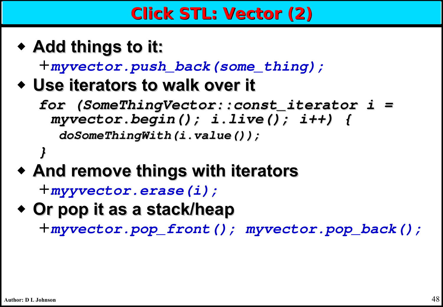◆ **Add things to it:**

+**myvector.push\_back(some\_thing);**

- ◆ **Use iterators to walk over it**
	- **for (SomeThingVector::const\_iterator i = myvector.begin(); i.live(); i++) { doSomeThingWith(i.value());**
- **}** ◆ **And remove things with iterators**

```
+myyvector.erase(i);
```
◆ **Or pop it as a stack/heap**

+**myvector.pop\_front(); myvector.pop\_back();**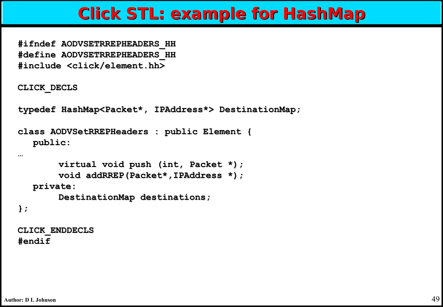### **Click STL: example for HashMap**

**#ifndef AODVSETRREPHEADERS\_HH #define AODVSETRREPHEADERS\_HH #include <click/element.hh>**

**CLICK\_DECLS**

**typedef HashMap<Packet\*, IPAddress\*> DestinationMap;**

```
class AODVSetRREPHeaders : public Element { 
  public:
```

```
virtual void push (int, Packet *);
       void addRREP(Packet*,IPAddress *);
  private:
       DestinationMap destinations;
};
```
**CLICK\_ENDDECLS #endif**

**…**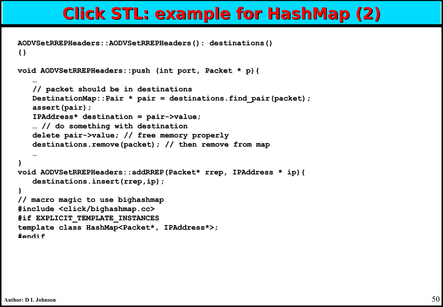### **Click STL: example for HashMap (2)**

```
AODVSetRREPHeaders::AODVSetRREPHeaders(): destinations()
{}
```

```
void AODVSetRREPHeaders::push (int port, Packet * p){
```

```
…
   // packet should be in destinations
   DestinationMap::Pair * pair = destinations.find_pair(packet);
   assert(pair);
   IPAddress* destination = pair->value;
   … // do something with destination
   delete pair->value; // free memory properly
   destinations.remove(packet); // then remove from map
   …
}
void AODVSetRREPHeaders::addRREP(Packet* rrep, IPAddress * ip){
   destinations.insert(rrep,ip);
}
// macro magic to use bighashmap
#include <click/bighashmap.cc>
#if EXPLICIT_TEMPLATE_INSTANCES
template class HashMap<Packet*, IPAddress*>;
#endif
```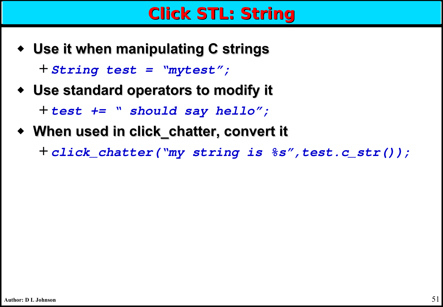### **Click STL: String**

- ◆ **Use it when manipulating C strings** + **String test = "mytest";**
- ◆ **Use standard operators to modify it** + **test += " should say hello";**
- ◆ **When used in click\_chatter, convert it**

+ **click\_chatter("my string is %s",test.c\_str());**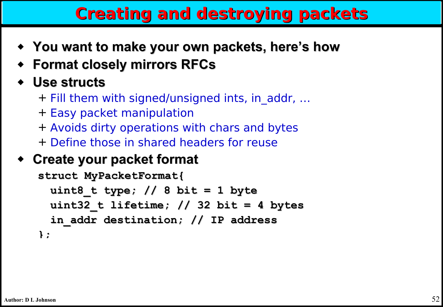## **Creating and destroying packets**

- ◆ **You want to make your own packets, here's how**
- ◆ **Format closely mirrors RFCs**

#### ◆ **Use structs**

- + Fill them with signed/unsigned ints, in\_addr, …
- + Easy packet manipulation
- + Avoids dirty operations with chars and bytes
- + Define those in shared headers for reuse

#### ◆ **Create your packet format**

```
struct MyPacketFormat{
 uint8_t type; // 8 bit = 1 byte
 uint32_t lifetime; // 32 bit = 4 bytes
 in_addr destination; // IP address
};
```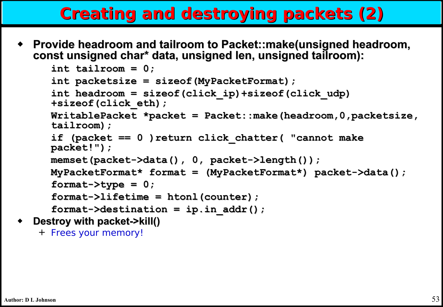## **Creating and destroying packets (2)**

◆ **Provide headroom and tailroom to Packet::make(unsigned headroom, const unsigned char\* data, unsigned len, unsigned tailroom):**

```
int tailroom = 0;
int packetsize = sizeof(MyPacketFormat);
int headroom = sizeof(click_ip)+sizeof(click_udp)
+sizeof(click_eth);
WritablePacket *packet = Packet::make(headroom,0,packetsize, 
tailroom);
if (packet == 0 )return click_chatter( "cannot make 
packet!");
memset(packet->data(), 0, packet->length());
MyPacketFormat* format = (MyPacketFormat*) packet->data();
format->type = 0;
format->lifetime = htonl(counter);
format->destination = ip.in_addr();
```
**Destroy with packet->kill()** 

```
+ Frees your memory!
```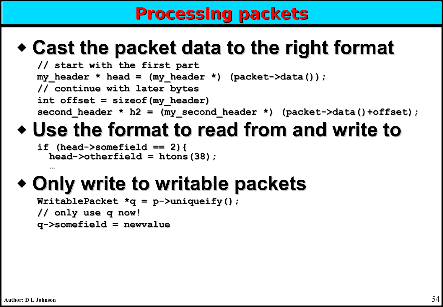### **Processing packets**

# ◆ **Cast the packet data to the right format**

```
// start with the first part
my_header * head = (my_header *) (packet->data());
// continue with later bytes
int offset = sizeof(my_header)
second_header * h2 = (my_second_header *) (packet->data()+offset);
```
# ◆ **Use the format to read from and write to**

```
if (head->somefield == 2){
  head->otherfield = htons(38);
```
# ◆ **Only write to writable packets**

```
WritablePacket *q = p->uniqueify();
// only use q now!
q->somefield = newvalue
```
**…**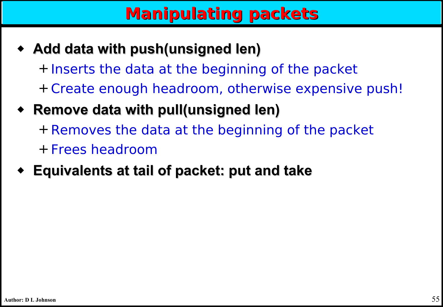## **Manipulating packets**

- ◆ **Add data with push(unsigned len)** + Inserts the data at the beginning of the packet + Create enough headroom, otherwise expensive push!
- ◆ **Remove data with pull(unsigned len)** + Removes the data at the beginning of the packet + Frees headroom
- ◆ **Equivalents at tail of packet: put and take**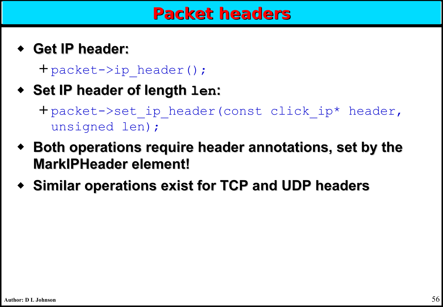◆ **Get IP header:**

+ packet->ip\_header();

- ◆ **Set IP header of length len:**
	- + packet->set\_ip\_header(const click\_ip\* header, unsigned len);
- ◆ **Both operations require header annotations, set by the MarkIPHeader element!**
- ◆ **Similar operations exist for TCP and UDP headers**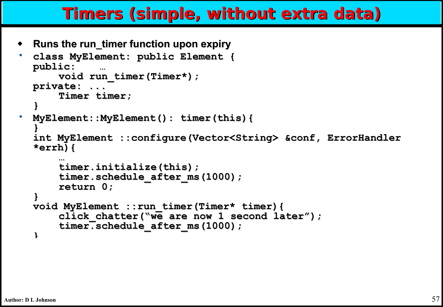### **Timers (simple, without extra data)**

◆ **Runs the run\_timer function upon expiry**

```
• class MyElement: public Element { 
public: …
    void run_timer(Timer*);
private: ...
    Timer timer;
}
• MyElement::MyElement(): timer(this){
}
int MyElement ::configure(Vector<String> &conf, ErrorHandler 
*errh){
    …
    timer.initialize(this);
    timer.schedule_after_ms(1000);
    return 0;
}
void MyElement ::run_timer(Timer* timer){
    click_chatter("we are now 1 second later");
    timer.schedule_after_ms(1000);
}
```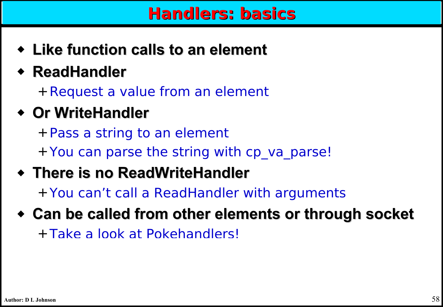### **Handlers: basics**

- ◆ **Like function calls to an element**
- ◆ **ReadHandler**

+Request a value from an element

◆ **Or WriteHandler**

+Pass a string to an element + You can parse the string with cp va parse!

◆ **There is no ReadWriteHandler**

+You can't call a ReadHandler with arguments

◆ **Can be called from other elements or through socket** +Take a look at Pokehandlers!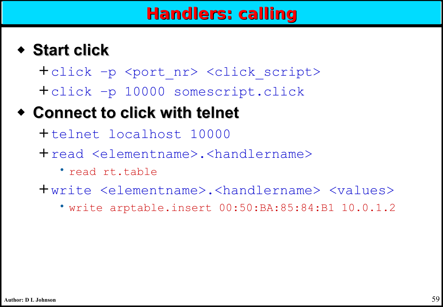### ◆ **Start click**

+click –p <port\_nr> <click\_script> +click –p 10000 somescript.click

### ◆ **Connect to click with telnet**

+telnet localhost 10000

- +read <elementname>.<handlername>
	- read rt.table

+write <elementname>.<handlername> <values>

• write arptable.insert 00:50:BA:85:84:B1 10.0.1.2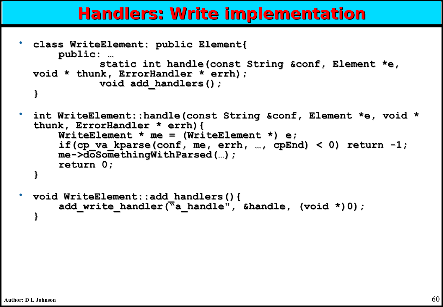### **Handlers: Write implementation**

```
• class WriteElement: public Element{
      public: …
             static int handle(const String &conf, Element *e, 
  void * thunk, ErrorHandler * errh);
             void add_handlers();
  }
• int WriteElement::handle(const String &conf, Element *e, void * 
  thunk, ErrorHandler * errh){
      WriteElement * me = (WriteElement *) e;
      if(cp va kparse(conf, me, errh, …, cpEnd) < 0) return -1;
      me->doSomethingWithParsed(…);
```

```
return 0;
```

```
}
```

```
• void WriteElement::add_handlers(){
       add write handler(<sup>"a</sup> handle", &handle, (void *)0);
  }
```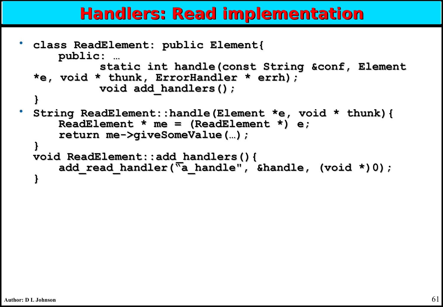### **Handlers: Read implementation**

```
• class ReadElement: public Element{
     public: …
            static int handle(const String &conf, Element 
  *e, void * thunk, ErrorHandler * errh);
            void add_handlers();
  }
• String ReadElement::handle(Element *e, void * thunk){
     ReadElement * me = (ReadElement *) e;
      return me->giveSomeValue(…);
  }
  void ReadElement::add_handlers(){
     add_read_handler("a_handle", &handle, (void *)0);
  }
```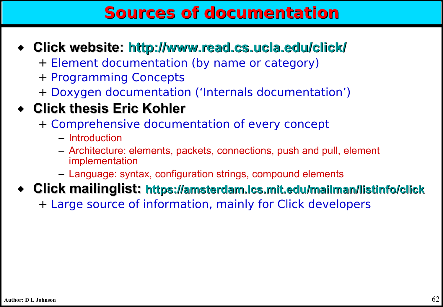### **Sources of documentation**

- ◆ **Click website:<http://www.read.cs.ucla.edu/click/>**
	- + Element documentation (by name or category)
	- + Programming Concepts
	- + Doxygen documentation ('Internals documentation')

### ◆ **Click thesis Eric Kohler**

- + Comprehensive documentation of every concept
	- Introduction
	- Architecture: elements, packets, connections, push and pull, element implementation
	- Language: syntax, configuration strings, compound elements
- ◆ **Click mailinglist: <https://amsterdam.lcs.mit.edu/mailman/listinfo/click>**
	- + Large source of information, mainly for Click developers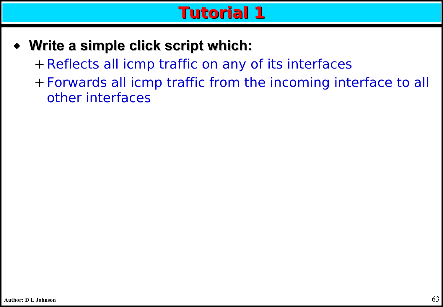- ◆ **Write a simple click script which:**
	- + Reflects all icmp traffic on any of its interfaces
	- + Forwards all icmp traffic from the incoming interface to all other interfaces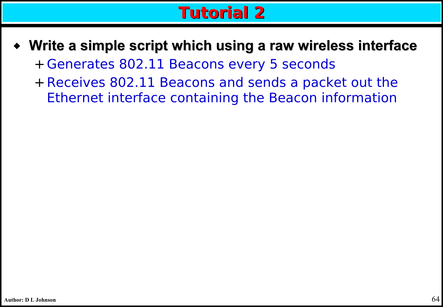- ◆ **Write a simple script which using a raw wireless interface** + Generates 802.11 Beacons every 5 seconds
	- + Receives 802.11 Beacons and sends a packet out the Ethernet interface containing the Beacon information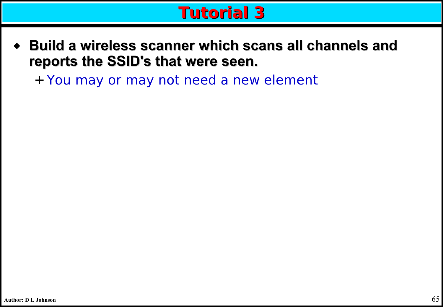- **Build a wireless scanner which scans all channels and reports the SSID's that were seen.**
	- + You may or may not need a new element